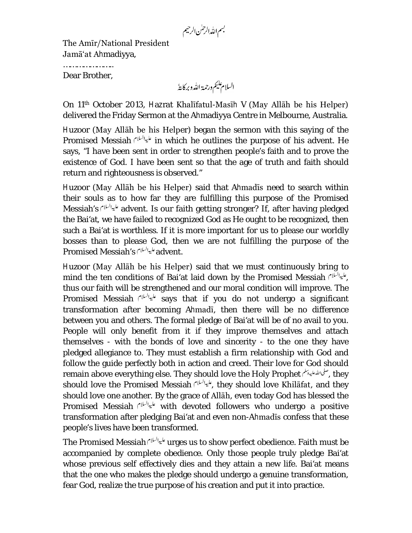بسم الله الرحمٰن الرحيم

The Amīr/National President Jamā'at Ahmadiyya,

………………………… Dear Brother,

السلام يليم ورحمة الله وبركايةُ

On 11th October 2013, Hazrat Khalīfatul-Masīh V (May Allāh be his Helper) delivered the Friday Sermon at the Ahmadiyya Centre in Melbourne, Australia.

Huzoor (May Allāh be his Helper) began the sermon with this saying of the Promised Messiah in which he outlines the purpose of his advent. He says, "I have been sent in order to strengthen people's faith and to prove the existence of God. I have been sent so that the age of truth and faith should return and righteousness is observed."

Huzoor (May Allāh be his Helper) said that Ahmadīs need to search within their souls as to how far they are fulfilling this purpose of the Promised Messiah's advent. Is our faith getting stronger? If, after having pledged the Bai'at, we have failed to recognized God as He ought to be recognized, then such a Bai'at is worthless. If it is more important for us to please our worldly bosses than to please God, then we are not fulfilling the purpose of the .advent عليهالسلام Promised Messiah's f

Huzoor (May Allāh be his Helper) said that we must continuously bring to mind the ten conditions of Bai'at laid down by the Promised Messiah , thus our faith will be strengthened and our moral condition will improve. The Promised Messiah *الم*ي<sup>الر</sup>ام says that if you do not undergo a significant transformation after becoming Ahmadī, then there will be no difference between you and others. The formal pledge of Bai'at will be of no avail to you. People will only benefit from it if they improve themselves and attach themselves - with the bonds of love and sincerity - to the one they have pledged allegiance to. They must establish a firm relationship with God and follow the guide perfectly both in action and creed. Their love for God should remain above everything else. They should love the Holy Prophet , they should love the Promised Messiah , عليه السلام , they should love Khilafat, and they should love one another. By the grace of Allāh, even today God has blessed the Promised Messiah *المياليان* with devoted followers who undergo a positive transformation after pledging Bai'at and even non-Ahmadīs confess that these people's lives have been transformed.

The Promised Messiah <sup>على السل</sup>ام urges us to show perfect obedience. Faith must be accompanied by complete obedience. Only those people truly pledge Bai'at whose previous self effectively dies and they attain a new life. Bai'at means that the one who makes the pledge should undergo a genuine transformation, fear God, realize the true purpose of his creation and put it into practice.